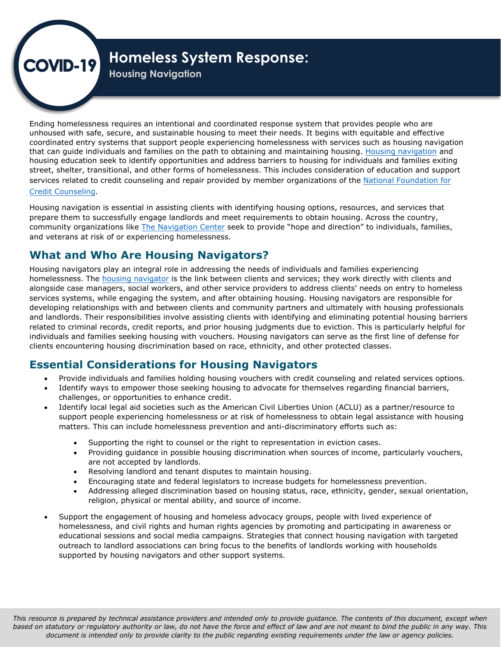# $\rho$ VID-19

# **Homeless System Response:**

**Housing Navigation** 

Ending homelessness requires an intentional and coordinated response system that provides people who are unhoused with safe, secure, and sustainable housing to meet their needs. It begins with equitable and effective coordinated entry systems that support people experiencing homelessness with services such as housing navigation that can guide individuals and families on the path to obtaining and maintaining housing. [Housing navigation](https://housingnavigation.org/) and housing education seek to identify opportunities and address barriers to housing for individuals and families exiting street, shelter, transitional, and other forms of homelessness. This includes consideration of education and support [services related to credit counseling and repair provided by member organizations of the National Foundation for](https://www.nfcc.org/) Credit Counseling.

Housing navigation is essential in assisting clients with identifying housing options, resources, and services that prepare them to successfully engage landlords and meet requirements to obtain housing. Across the country, community organizations like [The Navigation Center](https://thenavigationcenter.org/) seek to provide "hope and direction" to individuals, families, and veterans at risk of or experiencing homelessness.

# **What and Who Are Housing Navigators?**

Housing navigators play an integral role in addressing the needs of individuals and families experiencing homelessness. The [housing navigator](https://www.va.gov/HOMELESS/nchav/research/Navigator_Toolkit PDF.pdf) is the link between clients and services; they work directly with clients and alongside case managers, social workers, and other service providers to address clients' needs on entry to homeless services systems, while engaging the system, and after obtaining housing. Housing navigators are responsible for developing relationships with and between clients and community partners and ultimately with housing professionals and landlords. Their responsibilities involve assisting clients with identifying and eliminating potential housing barriers related to criminal records, credit reports, and prior housing judgments due to eviction. This is particularly helpful for individuals and families seeking housing with vouchers. Housing navigators can serve as the first line of defense for clients encountering housing discrimination based on race, ethnicity, and other protected classes.

# **Essential Considerations for Housing Navigators**

- Provide individuals and families holding housing vouchers with credit counseling and related services options.
- Identify ways to empower those seeking housing to advocate for themselves regarding financial barriers, challenges, or opportunities to enhance credit.
- Identify local legal aid societies such as the American Civil Liberties Union (ACLU) as a partner/resource to support people experiencing homelessness or at risk of homelessness to obtain legal assistance with housing matters. This can include homelessness prevention and anti-discriminatory efforts such as:
	- Supporting the right to counsel or the right to representation in eviction cases.
	- Providing guidance in possible housing discrimination when sources of income, particularly vouchers, are not accepted by landlords.
	- Resolving landlord and tenant disputes to maintain housing.
	- Encouraging state and federal legislators to increase budgets for homelessness prevention.
	- Addressing alleged discrimination based on housing status, race, ethnicity, gender, sexual orientation, religion, physical or mental ability, and source of income.
- Support the engagement of housing and homeless advocacy groups, people with lived experience of homelessness, and civil rights and human rights agencies by promoting and participating in awareness or educational sessions and social media campaigns. Strategies that connect housing navigation with targeted outreach to landlord associations can bring focus to the benefits of landlords working with households supported by housing navigators and other support systems.

 *This resource is prepared by technical assistance providers and intended only to provide guidance. The contents of this document, except when based on statutory or regulatory authority or law, do not have the force and effect of law and are not meant to bind the public in any way. This document is intended only to provide clarity to the public regarding existing requirements under the law or agency policies.*